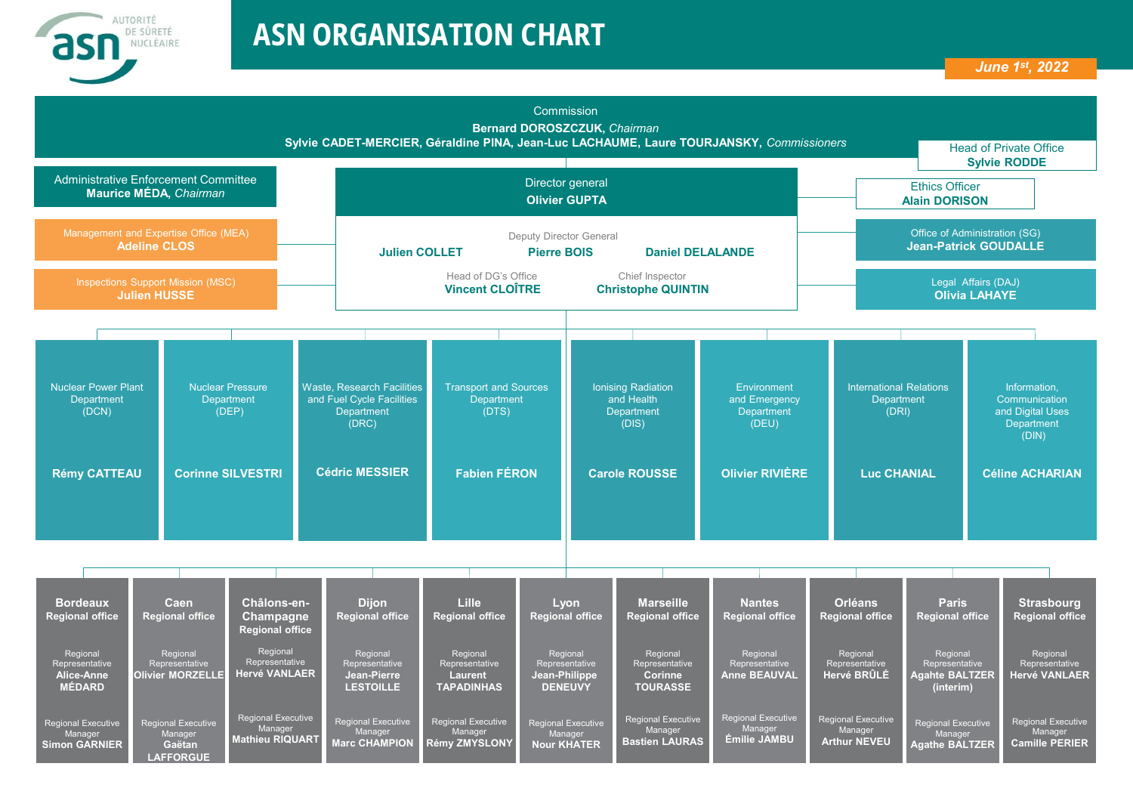

## **ASN ORGANISATION CHART**



| <b>Bordeaux</b><br><b>Regional office</b>                    | Caen<br><b>Regional office</b>                                     | Châlons-en-<br><b>Champagne</b><br><b>Regional office</b>      | <b>Dijon</b><br><b>Regional office</b>                        | <b>Lille</b><br><b>Regional office</b>                            | Lyon<br><b>Regional office</b>                                | <b>Marseille</b><br><b>Regional office</b>                      | <b>Nantes</b><br><b>Regional office</b>              | <b>Orléans</b><br><b>Regional office</b>                    | <b>Paris</b><br><b>Regional office</b>                           | <b>Strasbourg</b><br><b>Regional office</b>                   |
|--------------------------------------------------------------|--------------------------------------------------------------------|----------------------------------------------------------------|---------------------------------------------------------------|-------------------------------------------------------------------|---------------------------------------------------------------|-----------------------------------------------------------------|------------------------------------------------------|-------------------------------------------------------------|------------------------------------------------------------------|---------------------------------------------------------------|
| Regional<br>Representative<br>Alice-Anne<br><b>MÉDARD</b>    | Regional<br>Representative<br><b>Olivier MORZELLI</b>              | Regional<br>Representative<br><b>Hervé VANLAER</b>             | Regional<br>Representative<br>Jean-Pierre<br><b>LESTOILLE</b> | Regional<br>Representative<br><b>Laurent</b><br><b>TAPADINHAS</b> | Regional<br>Representative<br>Jean-Philippe<br><b>DENEUVY</b> | Regional<br>Representative<br><b>Corinne</b><br><b>TOURASSE</b> | Regional<br>Representative<br><b>Anne BEAUVAL</b>    | Regional<br>Representative<br>Hervé BRÛLÉ                   | Regional<br>Representative<br><b>Agahte BALTZER</b><br>(interim) | Regional<br>Representative<br><b>Hervé VANLAER</b>            |
| <b>Regional Executive</b><br>Manager<br><b>Simon GARNIER</b> | <b>Regional Executive</b><br>Manager<br>Gaëtan<br><b>LAFFORGUE</b> | <b>Regional Executive</b><br>Manager<br><b>Mathieu RIQUART</b> | Regional Executive<br>Manager<br><b>Marc CHAMPION</b>         | <b>Regional Executive</b><br>Manager<br><b>Rémy ZMYSLONY</b>      | <b>Regional Executive</b><br>Manager<br><b>Nour KHATER</b>    | <b>Regional Executive</b><br>Manager<br><b>Bastien LAURAS</b>   | <b>Regional Executive</b><br>Manager<br>Émilie JAMBU | <b>Regional Executive</b><br>Manager<br><b>Arthur NEVEU</b> | <b>Regional Executive</b><br>Manager<br><b>Agathe BALTZER</b>    | <b>Regional Executive</b><br>Manager<br><b>Camille PERIER</b> |